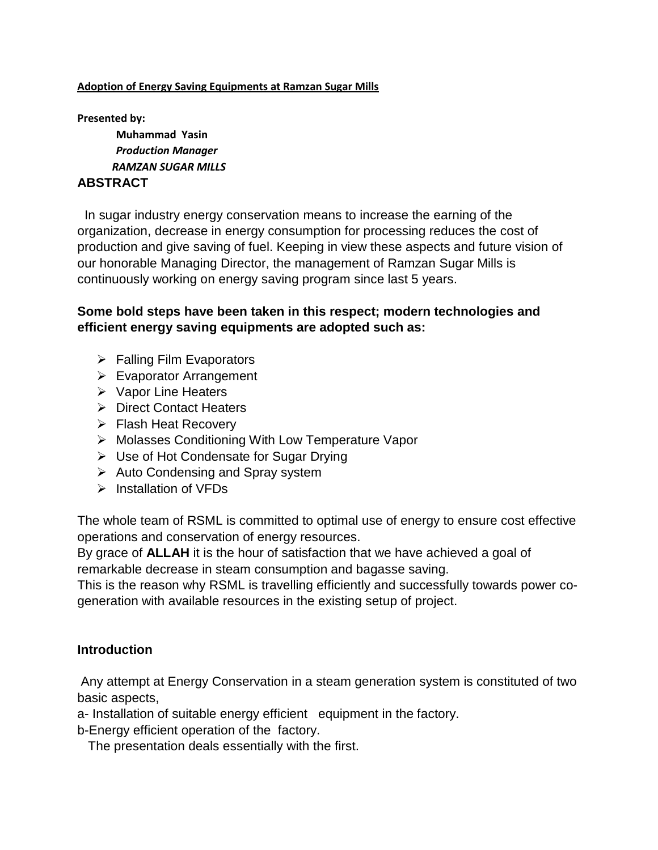#### **Adoption of Energy Saving Equipments at Ramzan Sugar Mills**

**Presented by:**

**Muhammad Yasin** *Production Manager RAMZAN SUGAR MILLS*

#### **ABSTRACT**

 In sugar industry energy conservation means to increase the earning of the organization, decrease in energy consumption for processing reduces the cost of production and give saving of fuel. Keeping in view these aspects and future vision of our honorable Managing Director, the management of Ramzan Sugar Mills is continuously working on energy saving program since last 5 years.

#### **Some bold steps have been taken in this respect; modern technologies and efficient energy saving equipments are adopted such as:**

- $\triangleright$  Falling Film Evaporators
- Evaporator Arrangement
- $\triangleright$  Vapor Line Heaters
- **▶ Direct Contact Heaters**
- **► Flash Heat Recovery**
- ▶ Molasses Conditioning With Low Temperature Vapor
- Use of Hot Condensate for Sugar Drying
- $\triangleright$  Auto Condensing and Spray system
- $\triangleright$  Installation of VFDs

The whole team of RSML is committed to optimal use of energy to ensure cost effective operations and conservation of energy resources.

By grace of **ALLAH** it is the hour of satisfaction that we have achieved a goal of remarkable decrease in steam consumption and bagasse saving.

This is the reason why RSML is travelling efficiently and successfully towards power cogeneration with available resources in the existing setup of project.

#### **Introduction**

Any attempt at Energy Conservation in a steam generation system is constituted of two basic aspects,

a- Installation of suitable energy efficient equipment in the factory.

b-Energy efficient operation of the factory.

The presentation deals essentially with the first.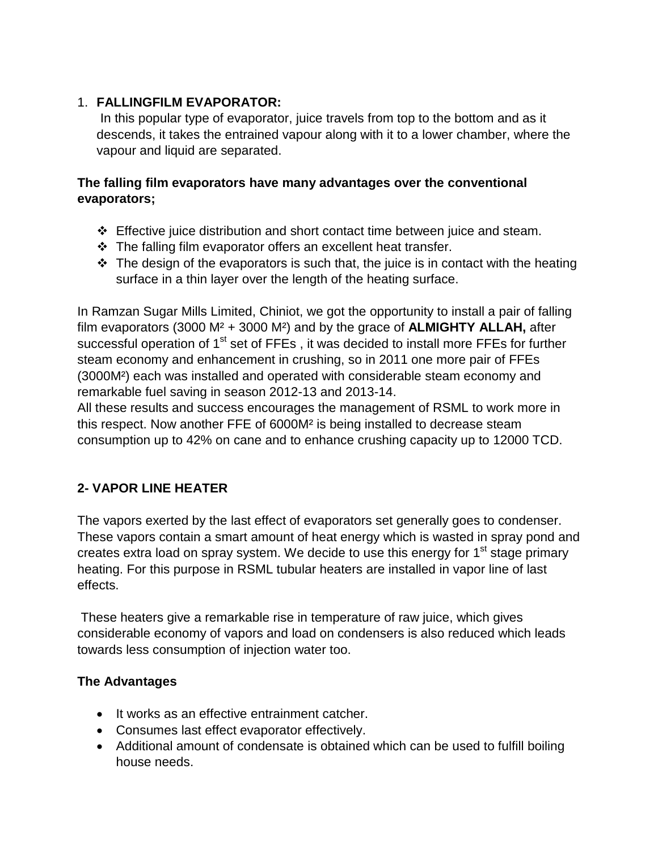### 1. **FALLINGFILM EVAPORATOR:**

In this popular type of evaporator, juice travels from top to the bottom and as it descends, it takes the entrained vapour along with it to a lower chamber, where the vapour and liquid are separated.

### **The falling film evaporators have many advantages over the conventional evaporators;**

- Effective juice distribution and short contact time between juice and steam.
- $\cdot$  The falling film evaporator offers an excellent heat transfer.
- $\cdot \cdot$  The design of the evaporators is such that, the juice is in contact with the heating surface in a thin layer over the length of the heating surface.

In Ramzan Sugar Mills Limited, Chiniot, we got the opportunity to install a pair of falling film evaporators (3000 M² + 3000 M²) and by the grace of **ALMIGHTY ALLAH,** after successful operation of 1<sup>st</sup> set of FFEs , it was decided to install more FFEs for further steam economy and enhancement in crushing, so in 2011 one more pair of FFEs (3000M²) each was installed and operated with considerable steam economy and remarkable fuel saving in season 2012-13 and 2013-14.

All these results and success encourages the management of RSML to work more in this respect. Now another FFE of 6000M² is being installed to decrease steam consumption up to 42% on cane and to enhance crushing capacity up to 12000 TCD.

## **2- VAPOR LINE HEATER**

The vapors exerted by the last effect of evaporators set generally goes to condenser. These vapors contain a smart amount of heat energy which is wasted in spray pond and creates extra load on spray system. We decide to use this energy for  $1<sup>st</sup>$  stage primary heating. For this purpose in RSML tubular heaters are installed in vapor line of last effects.

These heaters give a remarkable rise in temperature of raw juice, which gives considerable economy of vapors and load on condensers is also reduced which leads towards less consumption of injection water too.

## **The Advantages**

- It works as an effective entrainment catcher.
- Consumes last effect evaporator effectively.
- Additional amount of condensate is obtained which can be used to fulfill boiling house needs.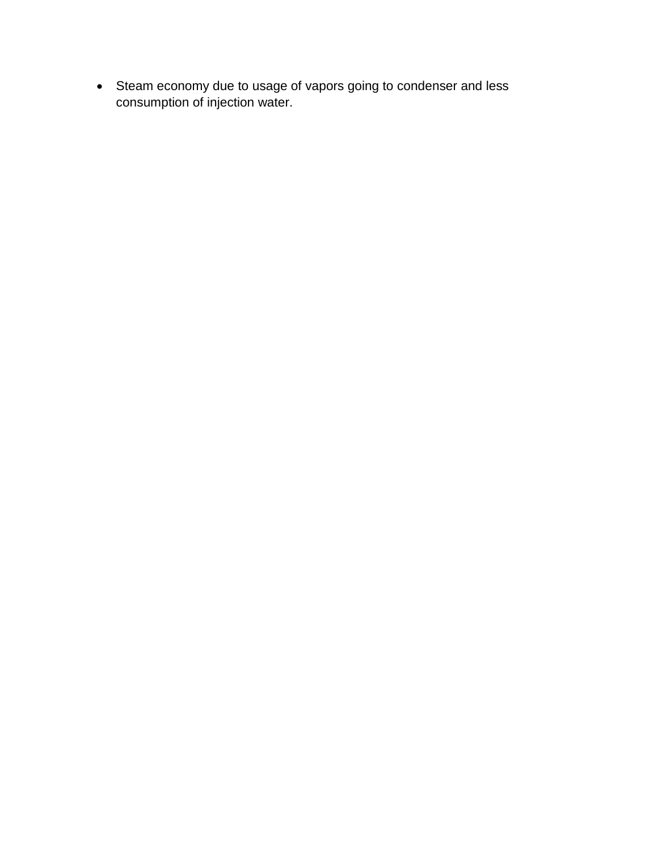• Steam economy due to usage of vapors going to condenser and less consumption of injection water.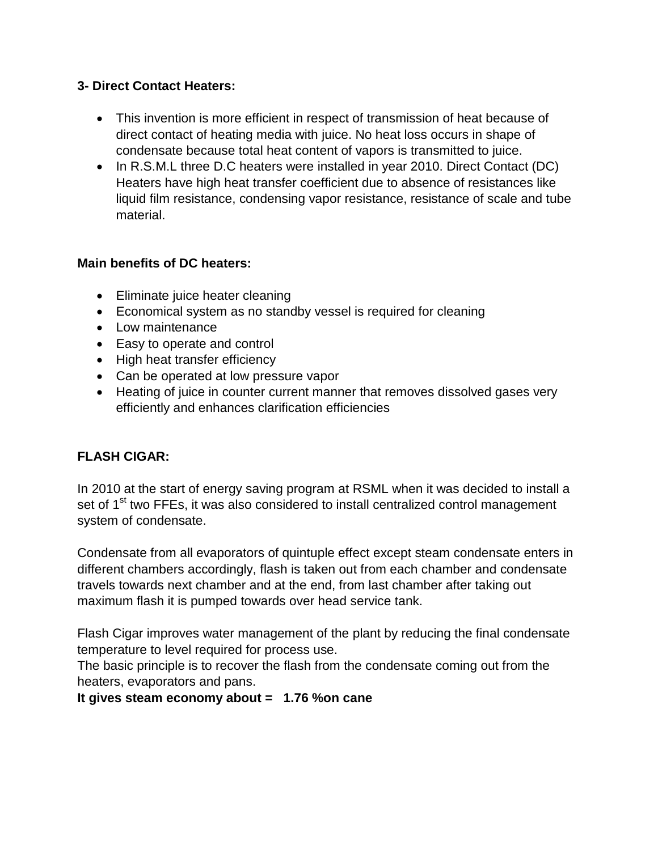### **3- Direct Contact Heaters:**

- This invention is more efficient in respect of transmission of heat because of direct contact of heating media with juice. No heat loss occurs in shape of condensate because total heat content of vapors is transmitted to juice.
- In R.S.M.L three D.C heaters were installed in year 2010. Direct Contact (DC) Heaters have high heat transfer coefficient due to absence of resistances like liquid film resistance, condensing vapor resistance, resistance of scale and tube material.

### **Main benefits of DC heaters:**

- Eliminate juice heater cleaning
- Economical system as no standby vessel is required for cleaning
- Low maintenance
- Easy to operate and control
- High heat transfer efficiency
- Can be operated at low pressure vapor
- Heating of juice in counter current manner that removes dissolved gases very efficiently and enhances clarification efficiencies

# **FLASH CIGAR:**

In 2010 at the start of energy saving program at RSML when it was decided to install a set of 1<sup>st</sup> two FFEs, it was also considered to install centralized control management system of condensate.

Condensate from all evaporators of quintuple effect except steam condensate enters in different chambers accordingly, flash is taken out from each chamber and condensate travels towards next chamber and at the end, from last chamber after taking out maximum flash it is pumped towards over head service tank.

Flash Cigar improves water management of the plant by reducing the final condensate temperature to level required for process use.

The basic principle is to recover the flash from the condensate coming out from the heaters, evaporators and pans.

### **It gives steam economy about = 1.76 %on cane**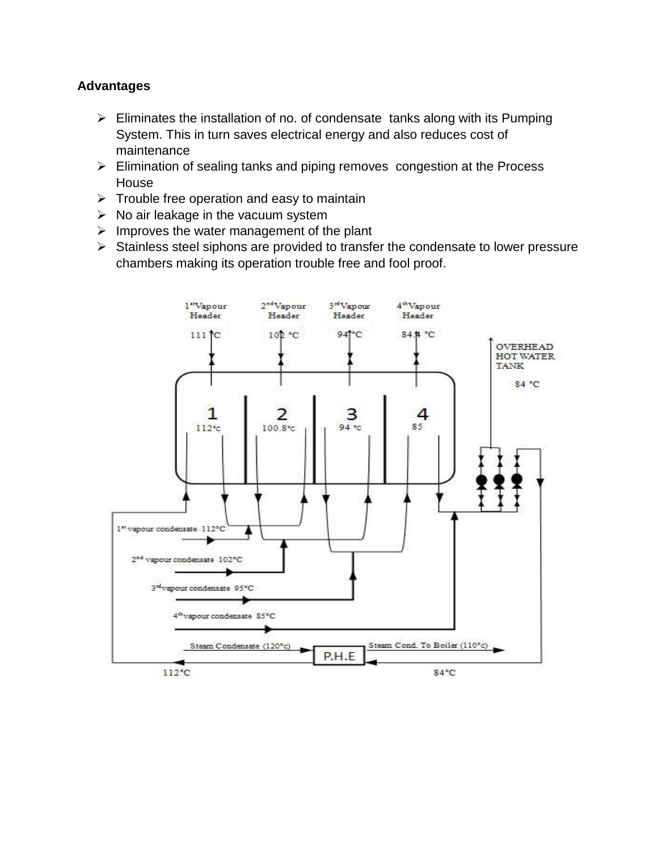#### **Advantages**

- $\triangleright$  Eliminates the installation of no. of condensate tanks along with its Pumping System. This in turn saves electrical energy and also reduces cost of maintenance
- Elimination of sealing tanks and piping removes congestion at the Process House
- $\triangleright$  Trouble free operation and easy to maintain
- $\triangleright$  No air leakage in the vacuum system
- $\triangleright$  Improves the water management of the plant
- $\triangleright$  Stainless steel siphons are provided to transfer the condensate to lower pressure chambers making its operation trouble free and fool proof.

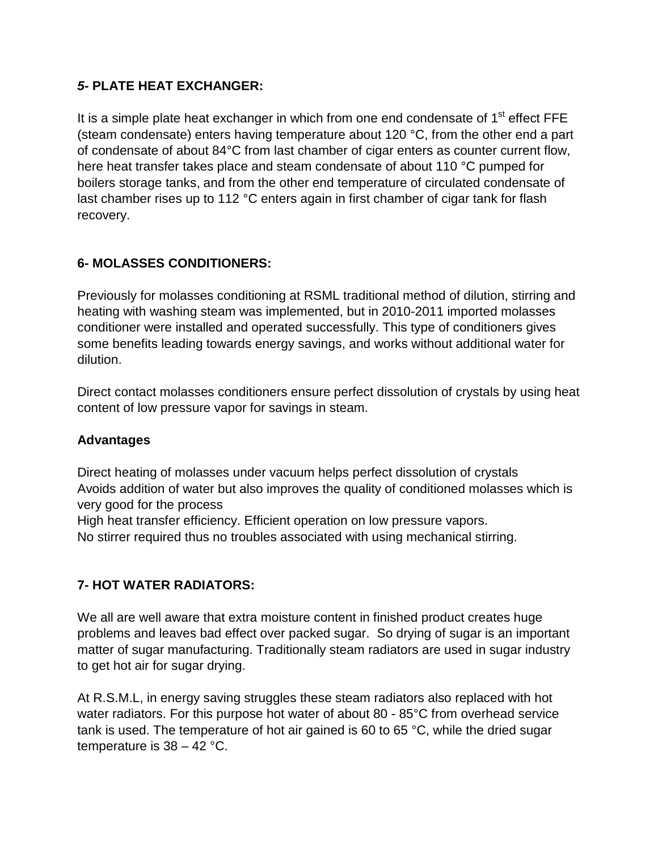### *5-* **PLATE HEAT EXCHANGER:**

It is a simple plate heat exchanger in which from one end condensate of  $1<sup>st</sup>$  effect FFE (steam condensate) enters having temperature about 120 °C, from the other end a part of condensate of about 84°C from last chamber of cigar enters as counter current flow, here heat transfer takes place and steam condensate of about 110 °C pumped for boilers storage tanks, and from the other end temperature of circulated condensate of last chamber rises up to 112 °C enters again in first chamber of cigar tank for flash recovery.

## **6- MOLASSES CONDITIONERS:**

Previously for molasses conditioning at RSML traditional method of dilution, stirring and heating with washing steam was implemented, but in 2010-2011 imported molasses conditioner were installed and operated successfully. This type of conditioners gives some benefits leading towards energy savings, and works without additional water for dilution.

Direct contact molasses conditioners ensure perfect dissolution of crystals by using heat content of low pressure vapor for savings in steam.

### **Advantages**

Direct heating of molasses under vacuum helps perfect dissolution of crystals Avoids addition of water but also improves the quality of conditioned molasses which is very good for the process

High heat transfer efficiency. Efficient operation on low pressure vapors.

No stirrer required thus no troubles associated with using mechanical stirring.

### **7- HOT WATER RADIATORS:**

We all are well aware that extra moisture content in finished product creates huge problems and leaves bad effect over packed sugar. So drying of sugar is an important matter of sugar manufacturing. Traditionally steam radiators are used in sugar industry to get hot air for sugar drying.

At R.S.M.L, in energy saving struggles these steam radiators also replaced with hot water radiators. For this purpose hot water of about 80 - 85°C from overhead service tank is used. The temperature of hot air gained is 60 to 65 °C, while the dried sugar temperature is 38 – 42 °C.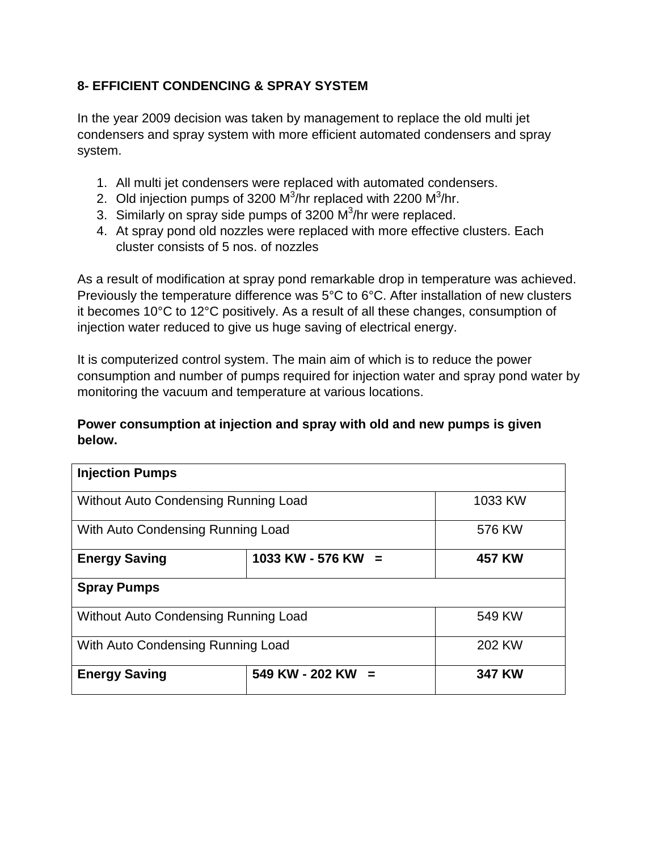## **8- EFFICIENT CONDENCING & SPRAY SYSTEM**

In the year 2009 decision was taken by management to replace the old multi jet condensers and spray system with more efficient automated condensers and spray system.

- 1. All multi jet condensers were replaced with automated condensers.
- 2. Old injection pumps of 3200  $M^3$ /hr replaced with 2200  $M^3$ /hr.
- 3. Similarly on spray side pumps of 3200  $M^3/h$ r were replaced.
- 4. At spray pond old nozzles were replaced with more effective clusters. Each cluster consists of 5 nos. of nozzles

As a result of modification at spray pond remarkable drop in temperature was achieved. Previously the temperature difference was 5°C to 6°C. After installation of new clusters it becomes 10°C to 12°C positively. As a result of all these changes, consumption of injection water reduced to give us huge saving of electrical energy.

It is computerized control system. The main aim of which is to reduce the power consumption and number of pumps required for injection water and spray pond water by monitoring the vacuum and temperature at various locations.

#### **Power consumption at injection and spray with old and new pumps is given below.**

| <b>Injection Pumps</b>               |                        |               |
|--------------------------------------|------------------------|---------------|
| Without Auto Condensing Running Load |                        | 1033 KW       |
| With Auto Condensing Running Load    |                        | 576 KW        |
| <b>Energy Saving</b>                 | 1033 KW - 576 KW =     | <b>457 KW</b> |
| <b>Spray Pumps</b>                   |                        |               |
| Without Auto Condensing Running Load |                        | 549 KW        |
| With Auto Condensing Running Load    |                        | 202 KW        |
| <b>Energy Saving</b>                 | 549 KW - 202 KW<br>$=$ | <b>347 KW</b> |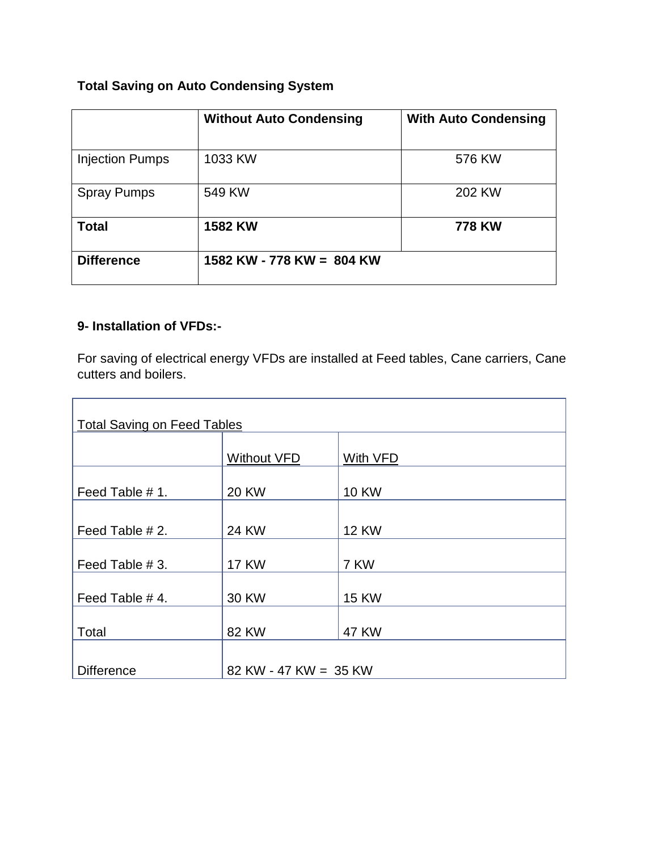# **Total Saving on Auto Condensing System**

|                        | <b>Without Auto Condensing</b> | <b>With Auto Condensing</b> |
|------------------------|--------------------------------|-----------------------------|
|                        |                                |                             |
| <b>Injection Pumps</b> | 1033 KW                        | 576 KW                      |
| <b>Spray Pumps</b>     | 549 KW                         | 202 KW                      |
| <b>Total</b>           | <b>1582 KW</b>                 | 778 KW                      |
| <b>Difference</b>      | 1582 KW - 778 KW = 804 KW      |                             |

### **9- Installation of VFDs:-**

For saving of electrical energy VFDs are installed at Feed tables, Cane carriers, Cane cutters and boilers.

| <b>Total Saving on Feed Tables</b> |                       |              |  |
|------------------------------------|-----------------------|--------------|--|
|                                    | <b>Without VFD</b>    | With VFD     |  |
|                                    |                       |              |  |
| Feed Table # 1.                    | <b>20 KW</b>          | <b>10 KW</b> |  |
|                                    |                       |              |  |
| Feed Table # 2.                    | <b>24 KW</b>          | <b>12 KW</b> |  |
|                                    |                       |              |  |
| Feed Table # 3.                    | <b>17 KW</b>          | 7 KW         |  |
| Feed Table #4.                     | 30 KW                 | <b>15 KW</b> |  |
|                                    |                       |              |  |
| Total                              | <b>82 KW</b>          | <b>47 KW</b> |  |
|                                    |                       |              |  |
| <b>Difference</b>                  | 82 KW - 47 KW = 35 KW |              |  |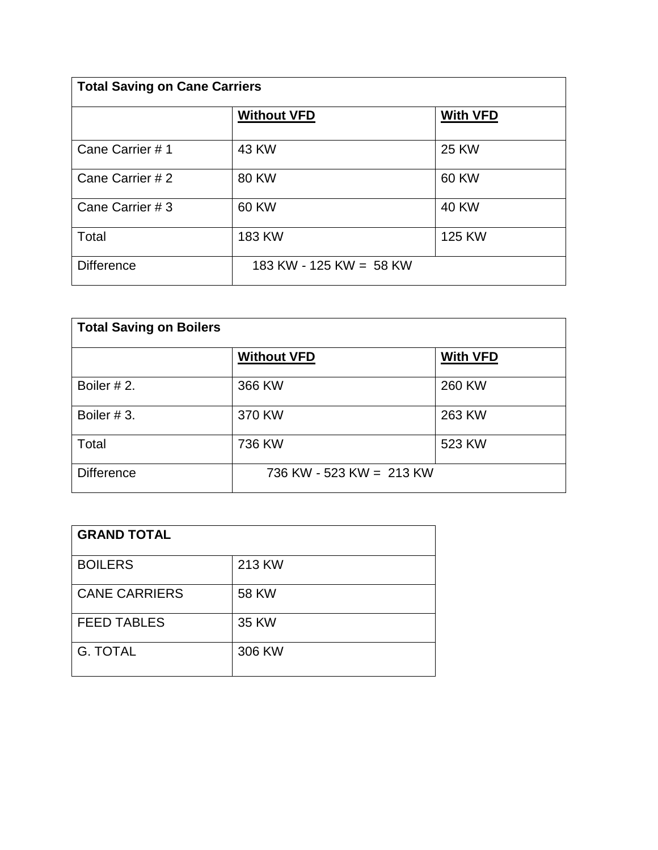| <b>Total Saving on Cane Carriers</b> |                         |                 |
|--------------------------------------|-------------------------|-----------------|
|                                      | <b>Without VFD</b>      | <b>With VFD</b> |
| Cane Carrier #1                      | 43 KW                   | 25 KW           |
| Cane Carrier #2                      | <b>80 KW</b>            | 60 KW           |
| Cane Carrier # 3                     | 60 KW                   | <b>40 KW</b>    |
| Total                                | <b>183 KW</b>           | 125 KW          |
| <b>Difference</b>                    | 183 KW - 125 KW = 58 KW |                 |

| <b>Total Saving on Boilers</b> |                          |                 |
|--------------------------------|--------------------------|-----------------|
|                                | <b>Without VFD</b>       | <b>With VFD</b> |
| Boiler #2.                     | 366 KW                   | 260 KW          |
| Boiler #3.                     | 370 KW                   | 263 KW          |
| Total                          | 736 KW                   | 523 KW          |
| <b>Difference</b>              | 736 KW - 523 KW = 213 KW |                 |

| <b>GRAND TOTAL</b>   |              |
|----------------------|--------------|
| <b>BOILERS</b>       | 213 KW       |
| <b>CANE CARRIERS</b> | <b>58 KW</b> |
| <b>FEED TABLES</b>   | 35 KW        |
| <b>G. TOTAL</b>      | 306 KW       |